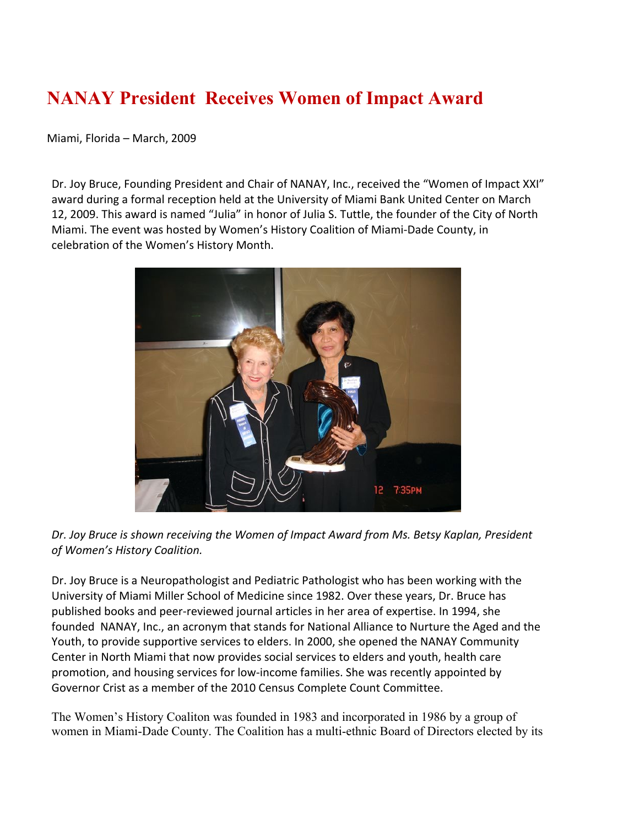## **NANAY President Receives Women of Impact Award**

Miami, Florida – March, 2009

Dr. Joy Bruce, Founding President and Chair of NANAY, Inc., received the "Women of Impact XXI" award during a formal reception held at the University of Miami Bank United Center on March 12, 2009. This award is named "Julia" in honor of Julia S. Tuttle, the founder of the City of North Miami. The event was hosted by Women's History Coalition of Miami-Dade County, in celebration of the Women's History Month.



*Dr. Joy Bruce is shown receiving the Women of Impact Award from Ms. Betsy Kaplan, President of Women's History Coalition.*

Dr. Joy Bruce is a Neuropathologist and Pediatric Pathologist who has been working with the University of Miami Miller School of Medicine since 1982. Over these years, Dr. Bruce has published books and peer-reviewed journal articles in her area of expertise. In 1994, she founded NANAY, Inc., an acronym that stands for National Alliance to Nurture the Aged and the Youth, to provide supportive services to elders. In 2000, she opened the NANAY Community Center in North Miami that now provides social services to elders and youth, health care promotion, and housing services for low-income families. She was recently appointed by Governor Crist as a member of the 2010 Census Complete Count Committee.

The Women's History Coaliton was founded in 1983 and incorporated in 1986 by a group of women in Miami-Dade County. The Coalition has a multi-ethnic Board of Directors elected by its